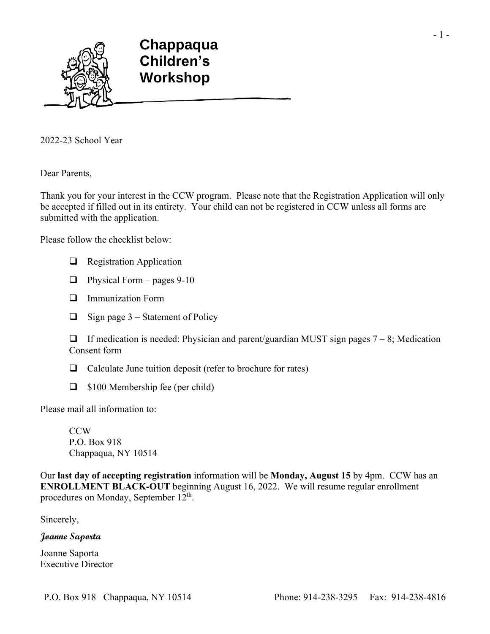

2022-23 School Year

Dear Parents,

Thank you for your interest in the CCW program. Please note that the Registration Application will only be accepted if filled out in its entirety. Your child can not be registered in CCW unless all forms are submitted with the application.

Please follow the checklist below:

- ❑ Registration Application
- $\Box$  Physical Form pages 9-10
- ❑ Immunization Form
- $\Box$  Sign page 3 Statement of Policy

 $\Box$  If medication is needed: Physician and parent/guardian MUST sign pages  $7 - 8$ ; Medication Consent form

- ❑ Calculate June tuition deposit (refer to brochure for rates)
- ❑ \$100 Membership fee (per child)

Please mail all information to:

**CCW** P.O. Box 918 Chappaqua, NY 10514

Our **last day of accepting registration** information will be **Monday, August 15** by 4pm. CCW has an **ENROLLMENT BLACK-OUT** beginning August 16, 2022. We will resume regular enrollment procedures on Monday, September 12<sup>th</sup>.

Sincerely,

**Joanne Saporta** 

Joanne Saporta Executive Director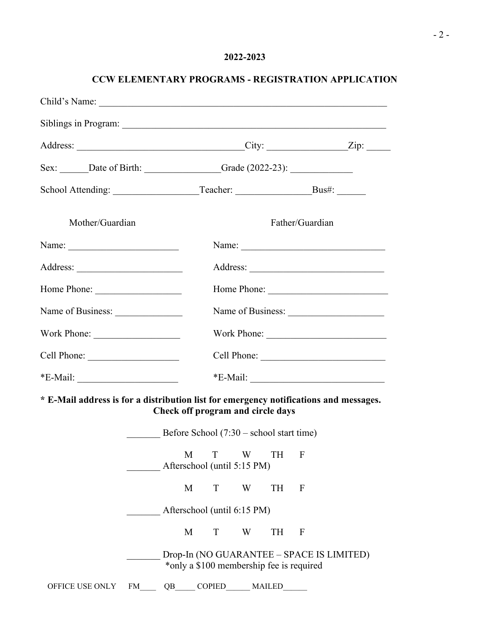## **2022-2023**

| Child's Name:                                                                         |    |                                                                                       |   |               |                 |             |
|---------------------------------------------------------------------------------------|----|---------------------------------------------------------------------------------------|---|---------------|-----------------|-------------|
|                                                                                       |    |                                                                                       |   |               |                 |             |
|                                                                                       |    |                                                                                       |   |               |                 |             |
| Sex: _______Date of Birth: __________________Grade (2022-23): __________________      |    |                                                                                       |   |               |                 |             |
|                                                                                       |    |                                                                                       |   |               |                 |             |
| Mother/Guardian                                                                       |    |                                                                                       |   |               | Father/Guardian |             |
|                                                                                       |    |                                                                                       |   |               |                 |             |
| Address:                                                                              |    |                                                                                       |   |               |                 |             |
| Home Phone:                                                                           |    |                                                                                       |   |               |                 | Home Phone: |
| Name of Business:                                                                     |    |                                                                                       |   |               |                 |             |
|                                                                                       |    |                                                                                       |   |               |                 |             |
|                                                                                       |    |                                                                                       |   |               |                 |             |
| $*E$ -Mail:                                                                           |    |                                                                                       |   |               |                 | *E-Mail:    |
| * E-Mail address is for a distribution list for emergency notifications and messages. |    | Check off program and circle days<br>Before School $(7:30 -$ school start time)       |   |               |                 |             |
|                                                                                       |    | M<br>T<br>Afterschool (until 5:15 PM)                                                 | W | TH            | $\mathbf{F}$    |             |
|                                                                                       |    | M<br>T                                                                                | W | TH            | F               |             |
|                                                                                       |    | Afterschool (until 6:15 PM)                                                           |   |               |                 |             |
|                                                                                       |    | T<br>M                                                                                | W | TH            | F               |             |
|                                                                                       |    | Drop-In (NO GUARANTEE – SPACE IS LIMITED)<br>*only a \$100 membership fee is required |   |               |                 |             |
| OFFICE USE ONLY<br>FM                                                                 | QB | <b>COPIED</b>                                                                         |   | <b>MAILED</b> |                 |             |

## **CCW ELEMENTARY PROGRAMS - REGISTRATION APPLICATION**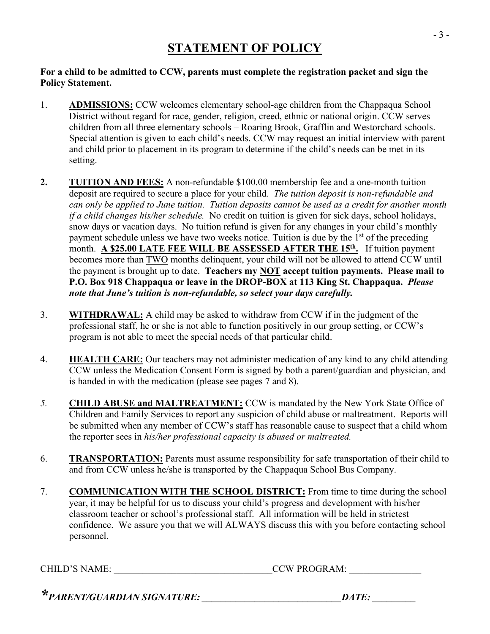## **For a child to be admitted to CCW, parents must complete the registration packet and sign the Policy Statement.**

- 1. **ADMISSIONS:** CCW welcomes elementary school-age children from the Chappaqua School District without regard for race, gender, religion, creed, ethnic or national origin. CCW serves children from all three elementary schools – Roaring Brook, Grafflin and Westorchard schools. Special attention is given to each child's needs. CCW may request an initial interview with parent and child prior to placement in its program to determine if the child's needs can be met in its setting.
- **2. TUITION AND FEES:** A non-refundable \$100.00 membership fee and a one-month tuition deposit are required to secure a place for your child. *The tuition deposit is non-refundable and can only be applied to June tuition. Tuition deposits cannot be used as a credit for another month if a child changes his/her schedule.* No credit on tuition is given for sick days, school holidays, snow days or vacation days. No tuition refund is given for any changes in your child's monthly payment schedule unless we have two weeks notice. Tuition is due by the 1<sup>st</sup> of the preceding month. **A \$25.00 LATE FEE WILL BE ASSESSED AFTER THE 15th .** If tuition payment becomes more than TWO months delinquent, your child will not be allowed to attend CCW until the payment is brought up to date. **Teachers my NOT accept tuition payments. Please mail to P.O. Box 918 Chappaqua or leave in the DROP-BOX at 113 King St. Chappaqua.** *Please note that June's tuition is non-refundable, so select your days carefully.*
- 3. **WITHDRAWAL:** A child may be asked to withdraw from CCW if in the judgment of the professional staff, he or she is not able to function positively in our group setting, or CCW's program is not able to meet the special needs of that particular child.
- 4. **HEALTH CARE:** Our teachers may not administer medication of any kind to any child attending CCW unless the Medication Consent Form is signed by both a parent/guardian and physician, and is handed in with the medication (please see pages 7 and 8).
- *5.* **CHILD ABUSE and MALTREATMENT:** CCW is mandated by the New York State Office of Children and Family Services to report any suspicion of child abuse or maltreatment. Reports will be submitted when any member of CCW's staff has reasonable cause to suspect that a child whom the reporter sees in *his/her professional capacity is abused or maltreated.*
- 6. **TRANSPORTATION:** Parents must assume responsibility for safe transportation of their child to and from CCW unless he/she is transported by the Chappaqua School Bus Company.
- 7. **COMMUNICATION WITH THE SCHOOL DISTRICT:** From time to time during the school year, it may be helpful for us to discuss your child's progress and development with his/her classroom teacher or school's professional staff. All information will be held in strictest confidence. We assure you that we will ALWAYS discuss this with you before contacting school personnel.

CHILD'S NAME: \_\_\_\_\_\_\_\_\_\_\_\_\_\_\_\_\_\_\_\_\_\_\_\_\_\_\_\_\_\_\_\_\_CCW PROGRAM: \_\_\_\_\_\_\_\_\_\_\_\_\_\_\_

*\*PARENT/GUARDIAN SIGNATURE: \_\_\_\_\_\_\_\_\_\_\_\_\_\_\_\_\_\_\_\_\_\_\_\_\_\_\_\_\_DATE: \_\_\_\_\_\_\_\_\_*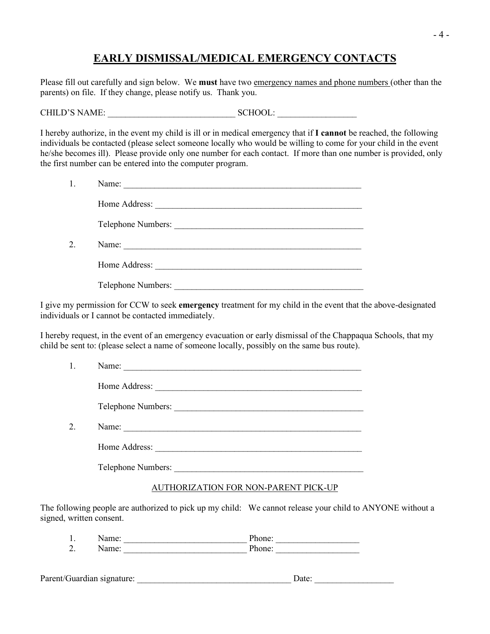## **EARLY DISMISSAL/MEDICAL EMERGENCY CONTACTS**

Please fill out carefully and sign below. We **must** have two emergency names and phone numbers (other than the parents) on file. If they change, please notify us. Thank you.

CHILD'S NAME: \_\_\_\_\_\_\_\_\_\_\_\_\_\_\_\_\_\_\_\_\_\_\_\_\_\_\_\_\_ SCHOOL: \_\_\_\_\_\_\_\_\_\_\_\_\_\_\_\_\_\_

I hereby authorize, in the event my child is ill or in medical emergency that if **I cannot** be reached, the following individuals be contacted (please select someone locally who would be willing to come for your child in the event he/she becomes ill). Please provide only one number for each contact. If more than one number is provided, only the first number can be entered into the computer program.

|    | Name:                                                                                                                         |
|----|-------------------------------------------------------------------------------------------------------------------------------|
|    | Home Address:                                                                                                                 |
|    |                                                                                                                               |
| 2. | Name:<br><u> 1989 - Johann Stein, mars an deutscher Stein und der Stein und der Stein und der Stein und der Stein und der</u> |
|    | Home Address:                                                                                                                 |
|    | Telephone Numbers:                                                                                                            |

I give my permission for CCW to seek **emergency** treatment for my child in the event that the above-designated individuals or I cannot be contacted immediately.

I hereby request, in the event of an emergency evacuation or early dismissal of the Chappaqua Schools, that my child be sent to: (please select a name of someone locally, possibly on the same bus route).

|    | Name:              |
|----|--------------------|
|    | Home Address:      |
|    | Telephone Numbers: |
| 2. | Name:              |
|    | Home Address:      |
|    | Telephone Numbers: |

## AUTHORIZATION FOR NON-PARENT PICK-UP

The following people are authorized to pick up my child: We cannot release your child to ANYONE without a signed, written consent.

| <b>.</b> |  |
|----------|--|
| -        |  |
|          |  |

| Parent/Guardian signature: |  |
|----------------------------|--|
|----------------------------|--|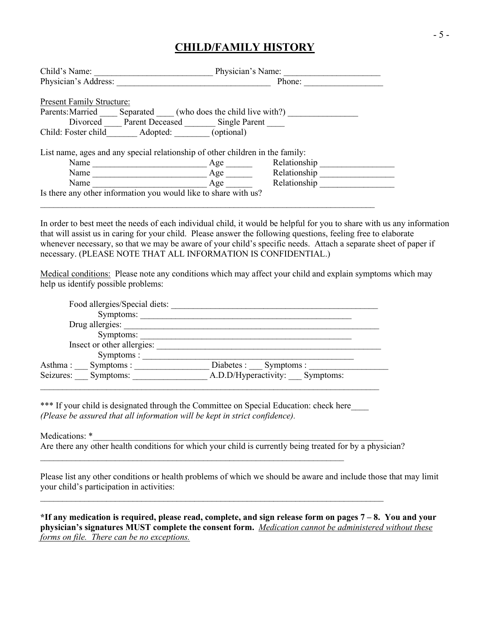## **CHILD/FAMILY HISTORY**

| Child's Name:                    |                                                                               | Physician's Name: |              |  |  |  |  |
|----------------------------------|-------------------------------------------------------------------------------|-------------------|--------------|--|--|--|--|
| Physician's Address:             |                                                                               |                   | Phone:       |  |  |  |  |
|                                  |                                                                               |                   |              |  |  |  |  |
| <b>Present Family Structure:</b> |                                                                               |                   |              |  |  |  |  |
| Parents: Married                 | Separated (who does the child live with?)                                     |                   |              |  |  |  |  |
| Divorced                         | Parent Deceased Single Parent                                                 |                   |              |  |  |  |  |
| Child: Foster child              | Adopted:                                                                      | (optional)        |              |  |  |  |  |
|                                  |                                                                               |                   |              |  |  |  |  |
|                                  | List name, ages and any special relationship of other children in the family: |                   |              |  |  |  |  |
| Name                             |                                                                               | Age               | Relationship |  |  |  |  |
| Name                             |                                                                               | Age               | Relationship |  |  |  |  |
| Name                             |                                                                               | Age               | Relationship |  |  |  |  |
|                                  | Is there any other information you would like to share with us?               |                   |              |  |  |  |  |
|                                  |                                                                               |                   |              |  |  |  |  |

In order to best meet the needs of each individual child, it would be helpful for you to share with us any information that will assist us in caring for your child. Please answer the following questions, feeling free to elaborate whenever necessary, so that we may be aware of your child's specific needs. Attach a separate sheet of paper if necessary. (PLEASE NOTE THAT ALL INFORMATION IS CONFIDENTIAL.)

Medical conditions: Please note any conditions which may affect your child and explain symptoms which may help us identify possible problems:

| Food allergies/Special diets: |                                   |
|-------------------------------|-----------------------------------|
| Symptoms:                     |                                   |
| Drug allergies:               |                                   |
| Symptoms:                     |                                   |
| Insect or other allergies:    |                                   |
| Symptoms :                    |                                   |
| Asthma:<br>Symptoms :         | Diabetes :<br>Symptoms:           |
| Seizures:<br>Symptoms:        | A.D.D/Hyperactivity:<br>Symptoms: |
|                               |                                   |

\*\*\* If your child is designated through the Committee on Special Education: check here *(Please be assured that all information will be kept in strict confidence).*

 $\mathcal{L}_\text{max} = \mathcal{L}_\text{max} = \mathcal{L}_\text{max} = \mathcal{L}_\text{max} = \mathcal{L}_\text{max} = \mathcal{L}_\text{max} = \mathcal{L}_\text{max} = \mathcal{L}_\text{max} = \mathcal{L}_\text{max} = \mathcal{L}_\text{max} = \mathcal{L}_\text{max} = \mathcal{L}_\text{max} = \mathcal{L}_\text{max} = \mathcal{L}_\text{max} = \mathcal{L}_\text{max} = \mathcal{L}_\text{max} = \mathcal{L}_\text{max} = \mathcal{L}_\text{max} = \mathcal{$ 

Medications: \*

Are there any other health conditions for which your child is currently being treated for by a physician?

 $\_$  , and the set of the set of the set of the set of the set of the set of the set of the set of the set of the set of the set of the set of the set of the set of the set of the set of the set of the set of the set of th

Please list any other conditions or health problems of which we should be aware and include those that may limit your child's participation in activities:

**\*If any medication is required, please read, complete, and sign release form on pages 7 – 8. You and your physician's signatures MUST complete the consent form.** *Medication cannot be administered without these forms on file. There can be no exceptions.*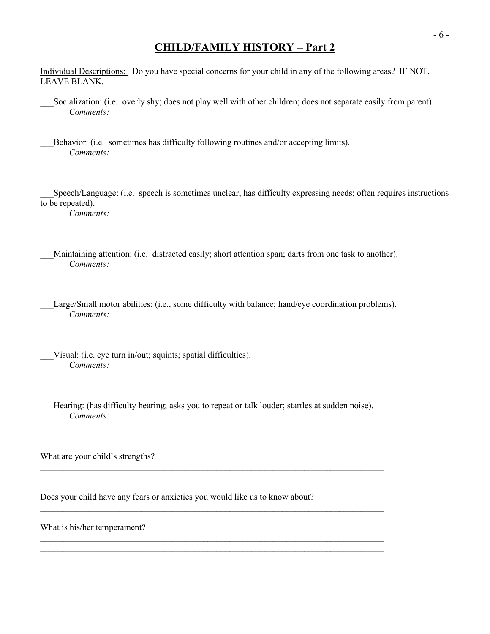## **CHILD/FAMILY HISTORY – Part 2**

Individual Descriptions: Do you have special concerns for your child in any of the following areas? IF NOT, LEAVE BLANK.

Socialization: (i.e. overly shy; does not play well with other children; does not separate easily from parent). *Comments:*

Behavior: (i.e. sometimes has difficulty following routines and/or accepting limits). *Comments:*

\_\_\_Speech/Language: (i.e. speech is sometimes unclear; has difficulty expressing needs; often requires instructions to be repeated).

*Comments:*

- Maintaining attention: (i.e. distracted easily; short attention span; darts from one task to another). *Comments:*
- Large/Small motor abilities: (i.e., some difficulty with balance; hand/eye coordination problems). *Comments:*
- Visual: (i.e. eye turn in/out; squints; spatial difficulties). *Comments:*
	- Hearing: (has difficulty hearing; asks you to repeat or talk louder; startles at sudden noise). *Comments:*

 $\mathcal{L}_\mathcal{L} = \{ \mathcal{L}_\mathcal{L} = \{ \mathcal{L}_\mathcal{L} = \{ \mathcal{L}_\mathcal{L} = \{ \mathcal{L}_\mathcal{L} = \{ \mathcal{L}_\mathcal{L} = \{ \mathcal{L}_\mathcal{L} = \{ \mathcal{L}_\mathcal{L} = \{ \mathcal{L}_\mathcal{L} = \{ \mathcal{L}_\mathcal{L} = \{ \mathcal{L}_\mathcal{L} = \{ \mathcal{L}_\mathcal{L} = \{ \mathcal{L}_\mathcal{L} = \{ \mathcal{L}_\mathcal{L} = \{ \mathcal{L}_\mathcal{$ 

 $\_$  , and the set of the set of the set of the set of the set of the set of the set of the set of the set of the set of the set of the set of the set of the set of the set of the set of the set of the set of the set of th  $\mathcal{L}_\mathcal{L} = \{ \mathcal{L}_\mathcal{L} = \{ \mathcal{L}_\mathcal{L} = \{ \mathcal{L}_\mathcal{L} = \{ \mathcal{L}_\mathcal{L} = \{ \mathcal{L}_\mathcal{L} = \{ \mathcal{L}_\mathcal{L} = \{ \mathcal{L}_\mathcal{L} = \{ \mathcal{L}_\mathcal{L} = \{ \mathcal{L}_\mathcal{L} = \{ \mathcal{L}_\mathcal{L} = \{ \mathcal{L}_\mathcal{L} = \{ \mathcal{L}_\mathcal{L} = \{ \mathcal{L}_\mathcal{L} = \{ \mathcal{L}_\mathcal{$ 

What are your child's strengths?

Does your child have any fears or anxieties you would like us to know about?

What is his/her temperament?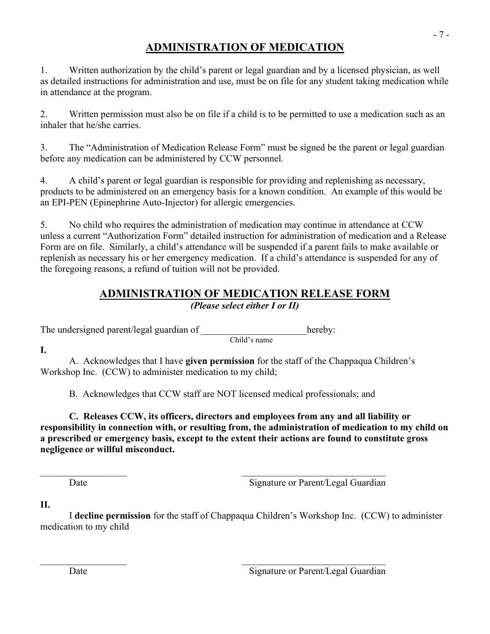# **ADMINISTRATION OF MEDICATION**

1. Written authorization by the child's parent or legal guardian and by a licensed physician, as well as detailed instructions for administration and use, must be on file for any student taking medication while in attendance at the program.

2. Written permission must also be on file if a child is to be permitted to use a medication such as an inhaler that he/she carries.

3. The "Administration of Medication Release Form" must be signed be the parent or legal guardian before any medication can be administered by CCW personnel.

4. A child's parent or legal guardian is responsible for providing and replenishing as necessary, products to be administered on an emergency basis for a known condition. An example of this would be an EPI-PEN (Epinephrine Auto-Injector) for allergic emergencies.

5. No child who requires the administration of medication may continue in attendance at CCW unless a current "Authorization Form" detailed instruction for administration of medication and a Release Form are on file. Similarly, a child's attendance will be suspended if a parent fails to make available or replenish as necessary his or her emergency medication. If a child's attendance is suspended for any of the foregoing reasons, a refund of tuition will not be provided.

## **ADMINISTRATION OF MEDICATION RELEASE FORM** *(Please select either I or II)*

The undersigned parent/legal guardian of  $\Box$  hereby:

Child's name

**I.**

A. Acknowledges that I have **given permission** for the staff of the Chappaqua Children's Workshop Inc. (CCW) to administer medication to my child;

B. Acknowledges that CCW staff are NOT licensed medical professionals; and

**C. Releases CCW, its officers, directors and employees from any and all liability or responsibility in connection with, or resulting from, the administration of medication to my child on a prescribed or emergency basis, except to the extent their actions are found to constitute gross negligence or willful misconduct.**

Date Signature or Parent/Legal Guardian

**II.**

 I **decline permission** for the staff of Chappaqua Children's Workshop Inc. (CCW) to administer medication to my child

Date Signature or Parent/Legal Guardian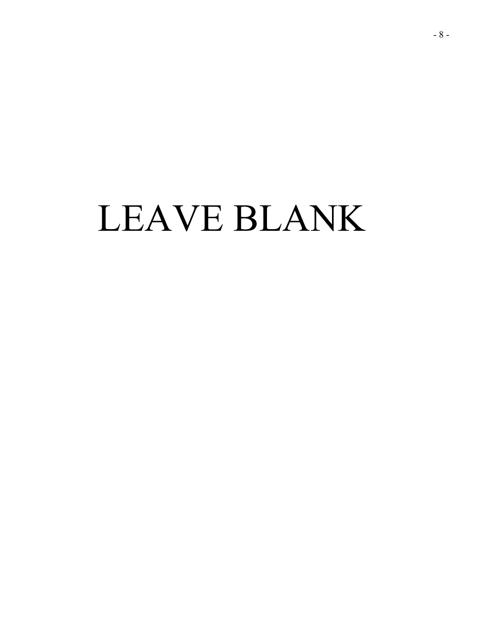# LEAVE BLANK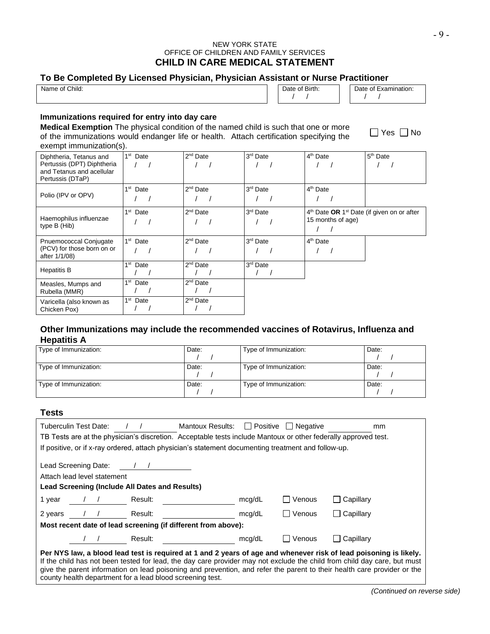#### NEW YORK STATE OFFICE OF CHILDREN AND FAMILY SERVICES **CHILD IN CARE MEDICAL STATEMENT**

#### **To Be Completed By Licensed Physician, Physician Assistant or Nurse Practitioner**

| Name of Child: |  |  | `Birth: | Examination:<br>Date of F |
|----------------|--|--|---------|---------------------------|
|                |  |  |         |                           |

#### **Immunizations required for entry into day care**

**Medical Exemption** The physical condition of the named child is such that one or more of the immunizations would endanger life or health. Attach certification specifying the exempt immunization(s).

| Diphtheria, Tetanus and<br>Pertussis (DPT) Diphtheria<br>and Tetanus and acellular<br>Pertussis (DTaP) | 1 <sup>st</sup> Date | $2^{nd}$ Date | 3 <sup>rd</sup> Date | 4 <sup>th</sup> Date                                                                    | 5 <sup>th</sup> Date |
|--------------------------------------------------------------------------------------------------------|----------------------|---------------|----------------------|-----------------------------------------------------------------------------------------|----------------------|
| Polio (IPV or OPV)                                                                                     | 1 <sup>st</sup> Date | $2^{nd}$ Date | 3rd Date             | 4 <sup>th</sup> Date                                                                    |                      |
| Haemophilus influenzae<br>type B (Hib)                                                                 | 1 <sup>st</sup> Date | $2^{nd}$ Date | 3 <sup>rd</sup> Date | 4 <sup>th</sup> Date OR 1 <sup>st</sup> Date (if given on or after<br>15 months of age) |                      |
| Pnuemococcal Conjugate<br>(PCV) for those born on or<br>after 1/1/08)                                  | $1st$ Date           | $2nd$ Date    | 3 <sup>rd</sup> Date | 4 <sup>th</sup> Date                                                                    |                      |
| <b>Hepatitis B</b>                                                                                     | 1 <sup>st</sup> Date | $2nd$ Date    | 3rd Date             |                                                                                         |                      |
| Measles, Mumps and<br>Rubella (MMR)                                                                    | 1 <sup>st</sup> Date | $2nd$ Date    |                      |                                                                                         |                      |
| Varicella (also known as<br>Chicken Pox)                                                               | 1 <sup>st</sup> Date | $2nd$ Date    |                      |                                                                                         |                      |

#### **Other Immunizations may include the recommended vaccines of Rotavirus, Influenza and Hepatitis A**

| Type of Immunization: | Date: | Type of Immunization: | Date: |
|-----------------------|-------|-----------------------|-------|
| Type of Immunization: | Date: | Type of Immunization: | Date: |
| Type of Immunization: | Date: | Type of Immunization: | Date: |

#### **Tests**

| <b>I</b> Positive I Negative<br>Mantoux Results:<br>Tuberculin Test Date:<br><sub>mm</sub><br>TB Tests are at the physician's discretion. Acceptable tests include Mantoux or other federally approved test. |            |  |         |                                                               |        |        |                                                                                                                 |  |
|--------------------------------------------------------------------------------------------------------------------------------------------------------------------------------------------------------------|------------|--|---------|---------------------------------------------------------------|--------|--------|-----------------------------------------------------------------------------------------------------------------|--|
| If positive, or if x-ray ordered, attach physician's statement documenting treatment and follow-up.                                                                                                          |            |  |         |                                                               |        |        |                                                                                                                 |  |
| Lead Screening Date:<br>Attach lead level statement<br>Lead Screening (Include All Dates and Results)                                                                                                        |            |  |         |                                                               |        |        |                                                                                                                 |  |
| 1 year                                                                                                                                                                                                       | $\sqrt{1}$ |  | Result: |                                                               | mcg/dL | Venous | $\Box$ Capillary                                                                                                |  |
| 2 years                                                                                                                                                                                                      |            |  | Result: |                                                               | mcg/dL | Venous | $\Box$ Capillary                                                                                                |  |
|                                                                                                                                                                                                              |            |  |         | Most recent date of lead screening (if different from above): |        |        |                                                                                                                 |  |
|                                                                                                                                                                                                              |            |  | Result: |                                                               | mcg/dL | Venous | Capillary                                                                                                       |  |
|                                                                                                                                                                                                              |            |  |         |                                                               |        |        | Der NVS Jaw a blood lead test is required at 1 and 2 vears of ago and whenever risk of lead poisoning is likely |  |

**Per NYS law, a blood lead test is required at 1 and 2 years of age and whenever risk of lead poisoning is likely.** If the child has not been tested for lead, the day care provider may not exclude the child from child day care, but must give the parent information on lead poisoning and prevention, and refer the parent to their health care provider or the county health department for a lead blood screening test.

 $\Box$  Yes  $\Box$  No